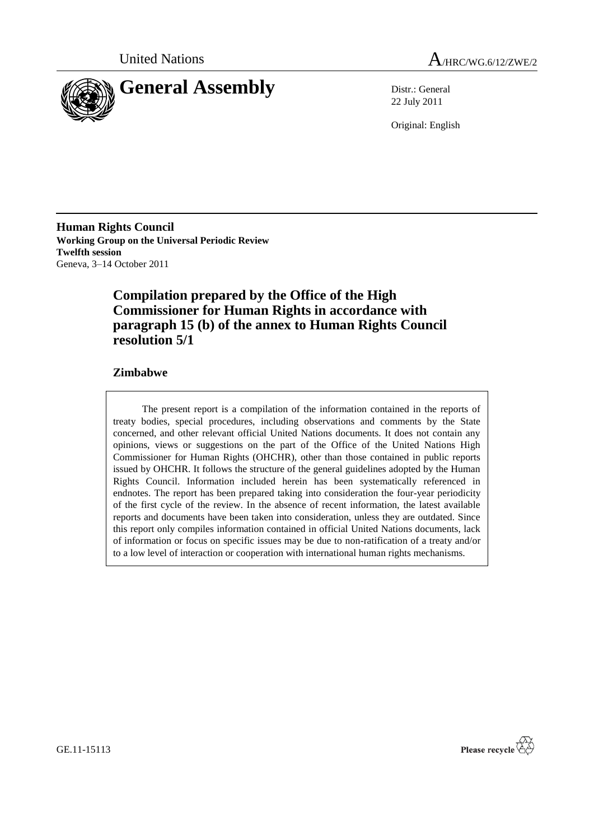



22 July 2011

Original: English

**Human Rights Council Working Group on the Universal Periodic Review Twelfth session** Geneva, 3–14 October 2011

# **Compilation prepared by the Office of the High Commissioner for Human Rights in accordance with paragraph 15 (b) of the annex to Human Rights Council resolution 5/1**

## **Zimbabwe**

The present report is a compilation of the information contained in the reports of treaty bodies, special procedures, including observations and comments by the State concerned, and other relevant official United Nations documents. It does not contain any opinions, views or suggestions on the part of the Office of the United Nations High Commissioner for Human Rights (OHCHR), other than those contained in public reports issued by OHCHR. It follows the structure of the general guidelines adopted by the Human Rights Council. Information included herein has been systematically referenced in endnotes. The report has been prepared taking into consideration the four-year periodicity of the first cycle of the review. In the absence of recent information, the latest available reports and documents have been taken into consideration, unless they are outdated. Since this report only compiles information contained in official United Nations documents, lack of information or focus on specific issues may be due to non-ratification of a treaty and/or to a low level of interaction or cooperation with international human rights mechanisms.

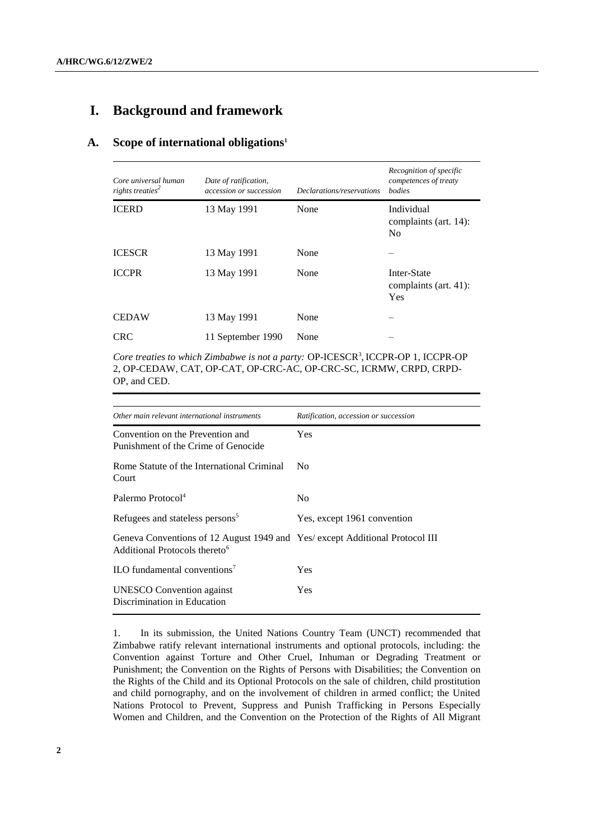# **I. Background and framework**

### **A. Scope of international obligations<sup>1</sup>**

| Core universal human<br>rights treaties <sup>2</sup> | Date of ratification,<br>accession or succession | Declarations/reservations | Recognition of specific<br>competences of treaty<br><i>bodies</i> |
|------------------------------------------------------|--------------------------------------------------|---------------------------|-------------------------------------------------------------------|
| <b>ICERD</b>                                         | 13 May 1991                                      | None                      | Individual<br>complaints (art. 14):<br>N <sub>0</sub>             |
| <b>ICESCR</b>                                        | 13 May 1991                                      | None                      |                                                                   |
| <b>ICCPR</b>                                         | 13 May 1991                                      | None                      | Inter-State<br>complaints (art. 41):<br>Yes                       |
| <b>CEDAW</b>                                         | 13 May 1991                                      | None                      |                                                                   |
| <b>CRC</b>                                           | 11 September 1990                                | None                      |                                                                   |

Core treaties to which Zimbabwe is not a party: OP-ICESCR<sup>3</sup>, ICCPR-OP 1, ICCPR-OP 2, OP-CEDAW, CAT, OP-CAT, OP-CRC-AC, OP-CRC-SC, ICRMW, CRPD, CRPD-OP, and CED.

| Other main relevant international instruments                                                                             | Ratification, accession or succession |
|---------------------------------------------------------------------------------------------------------------------------|---------------------------------------|
| Convention on the Prevention and<br>Punishment of the Crime of Genocide                                                   | Yes                                   |
| Rome Statute of the International Criminal<br>Court                                                                       | N <sub>0</sub>                        |
| Palermo Protocol <sup>4</sup>                                                                                             | N <sub>0</sub>                        |
| Refugees and stateless persons <sup>5</sup>                                                                               | Yes, except 1961 convention           |
| Geneva Conventions of 12 August 1949 and Yes/ except Additional Protocol III<br>Additional Protocols thereto <sup>6</sup> |                                       |
| ILO fundamental conventions <sup>7</sup>                                                                                  | Yes                                   |
| <b>UNESCO</b> Convention against<br>Discrimination in Education                                                           | Yes                                   |

1. In its submission, the United Nations Country Team (UNCT) recommended that Zimbabwe ratify relevant international instruments and optional protocols, including: the Convention against Torture and Other Cruel, Inhuman or Degrading Treatment or Punishment; the Convention on the Rights of Persons with Disabilities; the Convention on the Rights of the Child and its Optional Protocols on the sale of children, child prostitution and child pornography, and on the involvement of children in armed conflict; the United Nations Protocol to Prevent, Suppress and Punish Trafficking in Persons Especially Women and Children, and the Convention on the Protection of the Rights of All Migrant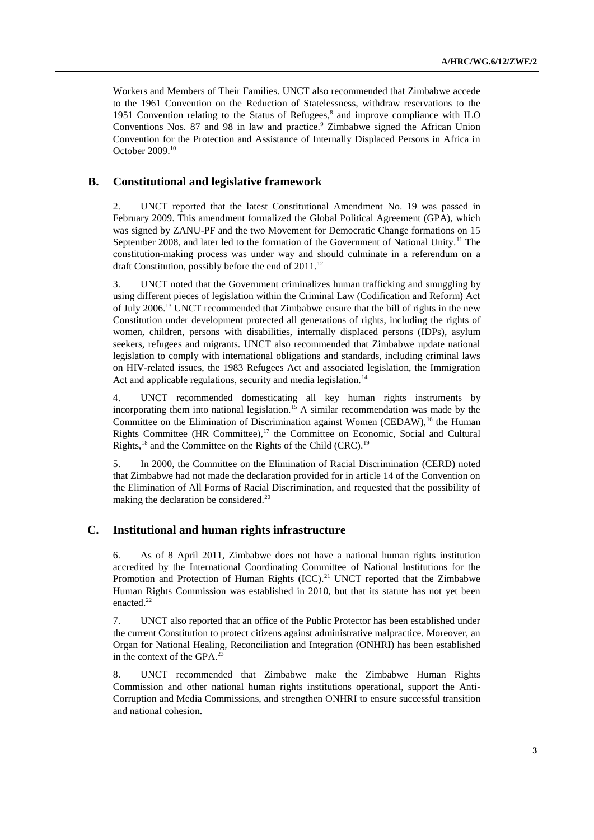Workers and Members of Their Families. UNCT also recommended that Zimbabwe accede to the 1961 Convention on the Reduction of Statelessness, withdraw reservations to the 1951 Convention relating to the Status of Refugees, $<sup>8</sup>$  and improve compliance with ILO</sup> Conventions Nos. 87 and 98 in law and practice.<sup>9</sup> Zimbabwe signed the African Union Convention for the Protection and Assistance of Internally Displaced Persons in Africa in October 2009.<sup>10</sup>

### **B. Constitutional and legislative framework**

2. UNCT reported that the latest Constitutional Amendment No. 19 was passed in February 2009. This amendment formalized the Global Political Agreement (GPA), which was signed by ZANU-PF and the two Movement for Democratic Change formations on 15 September 2008, and later led to the formation of the Government of National Unity.<sup>11</sup> The constitution-making process was under way and should culminate in a referendum on a draft Constitution, possibly before the end of  $2011$ .<sup>12</sup>

3. UNCT noted that the Government criminalizes human trafficking and smuggling by using different pieces of legislation within the Criminal Law (Codification and Reform) Act of July 2006.<sup>13</sup> UNCT recommended that Zimbabwe ensure that the bill of rights in the new Constitution under development protected all generations of rights, including the rights of women, children, persons with disabilities, internally displaced persons (IDPs), asylum seekers, refugees and migrants. UNCT also recommended that Zimbabwe update national legislation to comply with international obligations and standards, including criminal laws on HIV-related issues, the 1983 Refugees Act and associated legislation, the Immigration Act and applicable regulations, security and media legislation.<sup>14</sup>

4. UNCT recommended domesticating all key human rights instruments by incorporating them into national legislation.<sup>15</sup> A similar recommendation was made by the Committee on the Elimination of Discrimination against Women (CEDAW),<sup>16</sup> the Human Rights Committee (HR Committee), $17$  the Committee on Economic, Social and Cultural Rights,  $^{18}$  and the Committee on the Rights of the Child (CRC).<sup>19</sup>

5. In 2000, the Committee on the Elimination of Racial Discrimination (CERD) noted that Zimbabwe had not made the declaration provided for in article 14 of the Convention on the Elimination of All Forms of Racial Discrimination, and requested that the possibility of making the declaration be considered.<sup>20</sup>

### **C. Institutional and human rights infrastructure**

6. As of 8 April 2011, Zimbabwe does not have a national human rights institution accredited by the International Coordinating Committee of National Institutions for the Promotion and Protection of Human Rights  $(ICC)^{21}$  UNCT reported that the Zimbabwe Human Rights Commission was established in 2010, but that its statute has not yet been enacted.<sup>22</sup>

7. UNCT also reported that an office of the Public Protector has been established under the current Constitution to protect citizens against administrative malpractice. Moreover, an Organ for National Healing, Reconciliation and Integration (ONHRI) has been established in the context of the GPA.<sup>23</sup>

8. UNCT recommended that Zimbabwe make the Zimbabwe Human Rights Commission and other national human rights institutions operational, support the Anti-Corruption and Media Commissions, and strengthen ONHRI to ensure successful transition and national cohesion.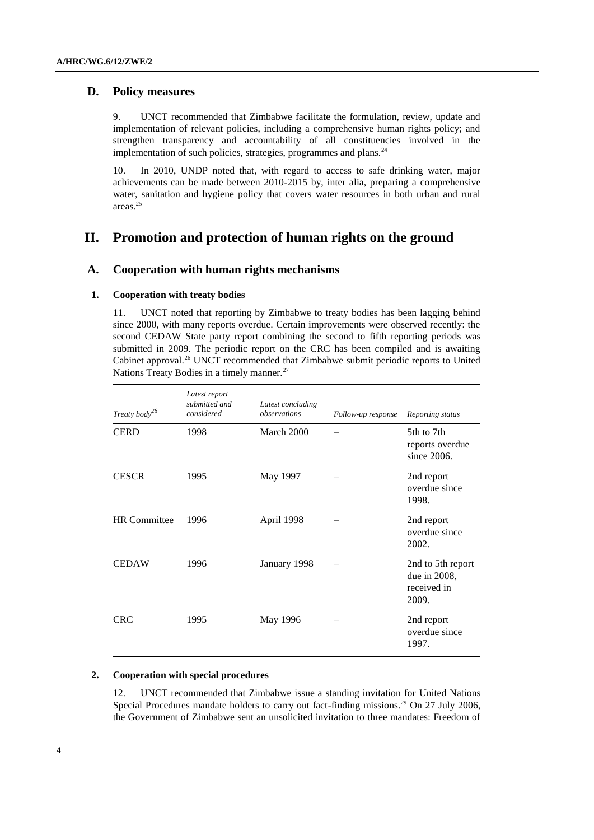## **D. Policy measures**

9. UNCT recommended that Zimbabwe facilitate the formulation, review, update and implementation of relevant policies, including a comprehensive human rights policy; and strengthen transparency and accountability of all constituencies involved in the implementation of such policies, strategies, programmes and plans.<sup>24</sup>

10. In 2010, UNDP noted that, with regard to access to safe drinking water, major achievements can be made between 2010-2015 by, inter alia, preparing a comprehensive water, sanitation and hygiene policy that covers water resources in both urban and rural areas.<sup>25</sup>

# **II. Promotion and protection of human rights on the ground**

### **A. Cooperation with human rights mechanisms**

#### **1. Cooperation with treaty bodies**

11. UNCT noted that reporting by Zimbabwe to treaty bodies has been lagging behind since 2000, with many reports overdue. Certain improvements were observed recently: the second CEDAW State party report combining the second to fifth reporting periods was submitted in 2009. The periodic report on the CRC has been compiled and is awaiting Cabinet approval.<sup>26</sup> UNCT recommended that Zimbabwe submit periodic reports to United Nations Treaty Bodies in a timely manner.<sup>27</sup>

| Treaty body <sup>28</sup> | Latest report<br>submitted and<br>considered | Latest concluding<br>observations | Follow-up response | Reporting status                                          |
|---------------------------|----------------------------------------------|-----------------------------------|--------------------|-----------------------------------------------------------|
| <b>CERD</b>               | 1998                                         | March 2000                        |                    | 5th to 7th<br>reports overdue<br>since 2006.              |
| <b>CESCR</b>              | 1995                                         | May 1997                          |                    | 2nd report<br>overdue since<br>1998.                      |
| <b>HR</b> Committee       | 1996                                         | April 1998                        |                    | 2nd report<br>overdue since<br>2002.                      |
| <b>CEDAW</b>              | 1996                                         | January 1998                      |                    | 2nd to 5th report<br>due in 2008,<br>received in<br>2009. |
| <b>CRC</b>                | 1995                                         | May 1996                          |                    | 2nd report<br>overdue since<br>1997.                      |

### **2. Cooperation with special procedures**

12. UNCT recommended that Zimbabwe issue a standing invitation for United Nations Special Procedures mandate holders to carry out fact-finding missions.<sup>29</sup> On 27 July 2006, the Government of Zimbabwe sent an unsolicited invitation to three mandates: Freedom of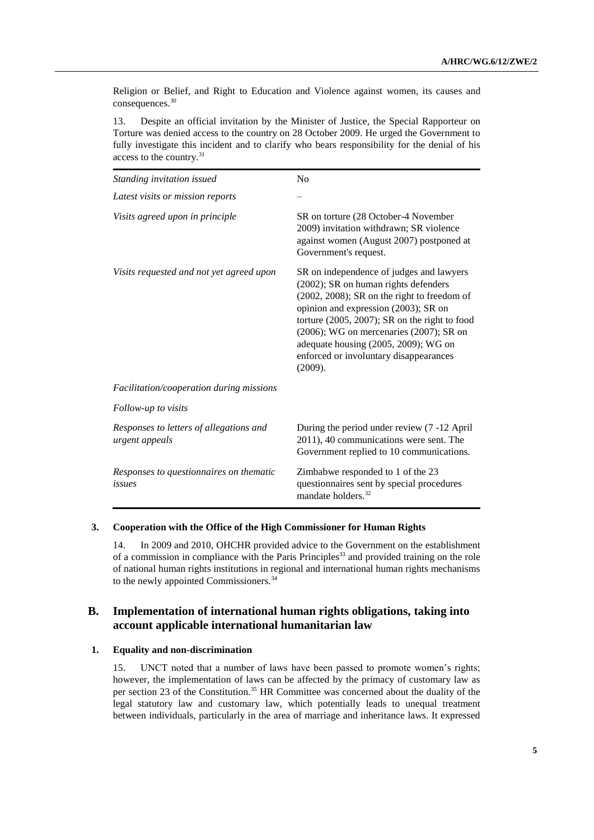Religion or Belief, and Right to Education and Violence against women, its causes and consequences.<sup>30</sup>

13. Despite an official invitation by the Minister of Justice, the Special Rapporteur on Torture was denied access to the country on 28 October 2009. He urged the Government to fully investigate this incident and to clarify who bears responsibility for the denial of his access to the country.<sup>31</sup>

| Standing invitation issued                                | N <sub>o</sub>                                                                                                                                                                                                                                                                                                                                                               |
|-----------------------------------------------------------|------------------------------------------------------------------------------------------------------------------------------------------------------------------------------------------------------------------------------------------------------------------------------------------------------------------------------------------------------------------------------|
| Latest visits or mission reports                          |                                                                                                                                                                                                                                                                                                                                                                              |
| Visits agreed upon in principle                           | SR on torture (28 October-4 November<br>2009) invitation withdrawn; SR violence<br>against women (August 2007) postponed at<br>Government's request.                                                                                                                                                                                                                         |
| Visits requested and not yet agreed upon                  | SR on independence of judges and lawyers<br>(2002); SR on human rights defenders<br>$(2002, 2008)$ ; SR on the right to freedom of<br>opinion and expression (2003); SR on<br>torture $(2005, 2007)$ ; SR on the right to food<br>$(2006)$ ; WG on mercenaries $(2007)$ ; SR on<br>adequate housing (2005, 2009); WG on<br>enforced or involuntary disappearances<br>(2009). |
| Facilitation/cooperation during missions                  |                                                                                                                                                                                                                                                                                                                                                                              |
| Follow-up to visits                                       |                                                                                                                                                                                                                                                                                                                                                                              |
| Responses to letters of allegations and<br>urgent appeals | During the period under review (7 -12 April<br>2011), 40 communications were sent. The<br>Government replied to 10 communications.                                                                                                                                                                                                                                           |
| Responses to questionnaires on thematic<br>issues         | Zimbabwe responded to 1 of the 23<br>questionnaires sent by special procedures<br>mandate holders. <sup>32</sup>                                                                                                                                                                                                                                                             |

#### **3. Cooperation with the Office of the High Commissioner for Human Rights**

14. In 2009 and 2010, OHCHR provided advice to the Government on the establishment of a commission in compliance with the Paris Principles<sup>33</sup> and provided training on the role of national human rights institutions in regional and international human rights mechanisms to the newly appointed Commissioners.<sup>34</sup>

## **B. Implementation of international human rights obligations, taking into account applicable international humanitarian law**

#### **1. Equality and non-discrimination**

15. UNCT noted that a number of laws have been passed to promote women's rights; however, the implementation of laws can be affected by the primacy of customary law as per section 23 of the Constitution.<sup>35</sup> HR Committee was concerned about the duality of the legal statutory law and customary law, which potentially leads to unequal treatment between individuals, particularly in the area of marriage and inheritance laws. It expressed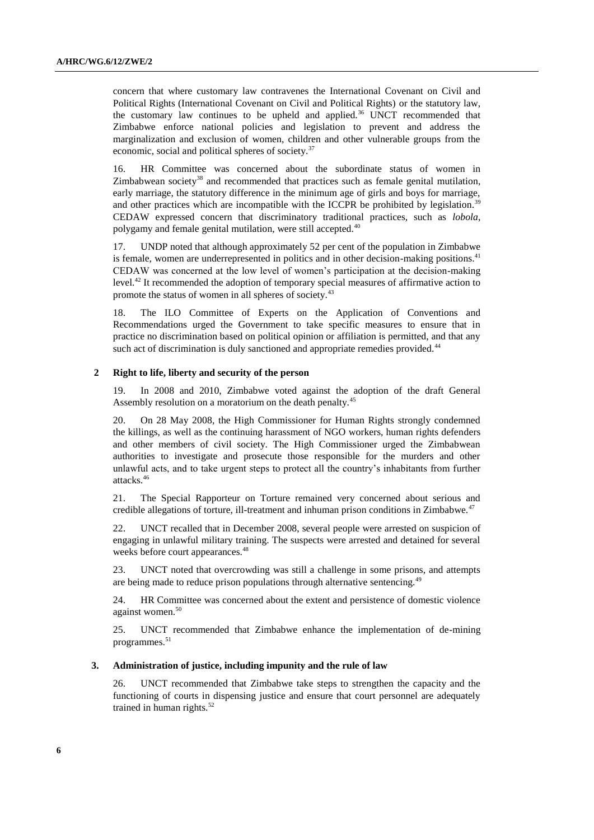concern that where customary law contravenes the International Covenant on Civil and Political Rights (International Covenant on Civil and Political Rights) or the statutory law, the customary law continues to be upheld and applied.<sup>36</sup> UNCT recommended that Zimbabwe enforce national policies and legislation to prevent and address the marginalization and exclusion of women, children and other vulnerable groups from the economic, social and political spheres of society.<sup>37</sup>

16. HR Committee was concerned about the subordinate status of women in Zimbabwean society<sup>38</sup> and recommended that practices such as female genital mutilation, early marriage, the statutory difference in the minimum age of girls and boys for marriage, and other practices which are incompatible with the ICCPR be prohibited by legislation.<sup>39</sup> CEDAW expressed concern that discriminatory traditional practices, such as *lobola*, polygamy and female genital mutilation, were still accepted.<sup>40</sup>

17. UNDP noted that although approximately 52 per cent of the population in Zimbabwe is female, women are underrepresented in politics and in other decision-making positions.<sup>41</sup> CEDAW was concerned at the low level of women's participation at the decision-making level.<sup>42</sup> It recommended the adoption of temporary special measures of affirmative action to promote the status of women in all spheres of society.<sup>43</sup>

18. The ILO Committee of Experts on the Application of Conventions and Recommendations urged the Government to take specific measures to ensure that in practice no discrimination based on political opinion or affiliation is permitted, and that any such act of discrimination is duly sanctioned and appropriate remedies provided.<sup>44</sup>

#### **2 Right to life, liberty and security of the person**

19. In 2008 and 2010, Zimbabwe voted against the adoption of the draft General Assembly resolution on a moratorium on the death penalty.<sup>45</sup>

20. On 28 May 2008, the High Commissioner for Human Rights strongly condemned the killings, as well as the continuing harassment of NGO workers, human rights defenders and other members of civil society. The High Commissioner urged the Zimbabwean authorities to investigate and prosecute those responsible for the murders and other unlawful acts, and to take urgent steps to protect all the country's inhabitants from further attacks.<sup>46</sup>

21. The Special Rapporteur on Torture remained very concerned about serious and credible allegations of torture, ill-treatment and inhuman prison conditions in Zimbabwe.<sup>47</sup>

22. UNCT recalled that in December 2008, several people were arrested on suspicion of engaging in unlawful military training. The suspects were arrested and detained for several weeks before court appearances.<sup>48</sup>

23. UNCT noted that overcrowding was still a challenge in some prisons, and attempts are being made to reduce prison populations through alternative sentencing.<sup>49</sup>

24. HR Committee was concerned about the extent and persistence of domestic violence against women.<sup>50</sup>

25. UNCT recommended that Zimbabwe enhance the implementation of de-mining programmes.<sup>51</sup>

#### **3. Administration of justice, including impunity and the rule of law**

26. UNCT recommended that Zimbabwe take steps to strengthen the capacity and the functioning of courts in dispensing justice and ensure that court personnel are adequately trained in human rights. $52$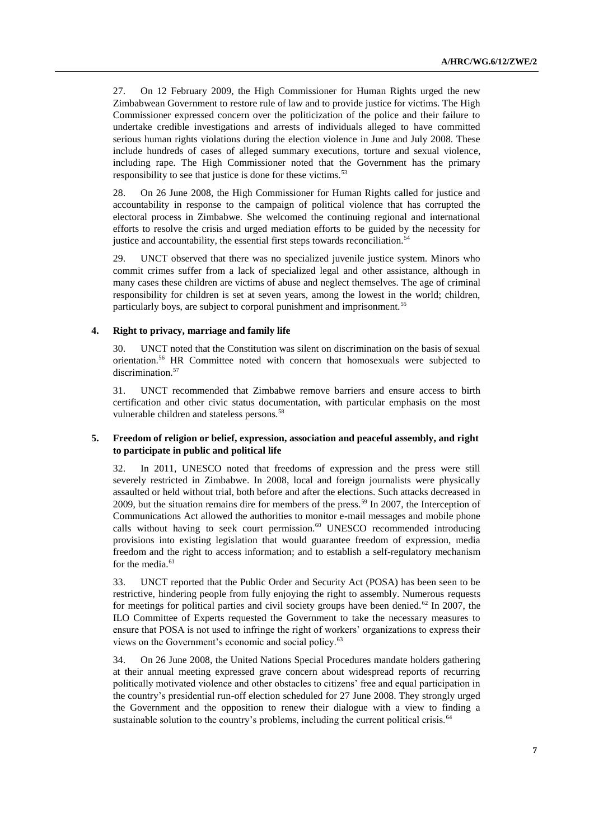27. On 12 February 2009, the High Commissioner for Human Rights urged the new Zimbabwean Government to restore rule of law and to provide justice for victims. The High Commissioner expressed concern over the politicization of the police and their failure to undertake credible investigations and arrests of individuals alleged to have committed serious human rights violations during the election violence in June and July 2008. These include hundreds of cases of alleged summary executions, torture and sexual violence, including rape. The High Commissioner noted that the Government has the primary responsibility to see that justice is done for these victims.<sup>53</sup>

28. On 26 June 2008, the High Commissioner for Human Rights called for justice and accountability in response to the campaign of political violence that has corrupted the electoral process in Zimbabwe. She welcomed the continuing regional and international efforts to resolve the crisis and urged mediation efforts to be guided by the necessity for justice and accountability, the essential first steps towards reconciliation.<sup>54</sup>

29. UNCT observed that there was no specialized juvenile justice system. Minors who commit crimes suffer from a lack of specialized legal and other assistance, although in many cases these children are victims of abuse and neglect themselves. The age of criminal responsibility for children is set at seven years, among the lowest in the world; children, particularly boys, are subject to corporal punishment and imprisonment.<sup>55</sup>

#### **4. Right to privacy, marriage and family life**

30. UNCT noted that the Constitution was silent on discrimination on the basis of sexual orientation.<sup>56</sup> HR Committee noted with concern that homosexuals were subjected to discrimination.<sup>57</sup>

31. UNCT recommended that Zimbabwe remove barriers and ensure access to birth certification and other civic status documentation, with particular emphasis on the most vulnerable children and stateless persons.<sup>58</sup>

#### **5. Freedom of religion or belief, expression, association and peaceful assembly, and right to participate in public and political life**

32. In 2011, UNESCO noted that freedoms of expression and the press were still severely restricted in Zimbabwe. In 2008, local and foreign journalists were physically assaulted or held without trial, both before and after the elections. Such attacks decreased in 2009, but the situation remains dire for members of the press.<sup>59</sup> In 2007, the Interception of Communications Act allowed the authorities to monitor e-mail messages and mobile phone calls without having to seek court permission.<sup>60</sup> UNESCO recommended introducing provisions into existing legislation that would guarantee freedom of expression, media freedom and the right to access information; and to establish a self-regulatory mechanism for the media.<sup>61</sup>

33. UNCT reported that the Public Order and Security Act (POSA) has been seen to be restrictive, hindering people from fully enjoying the right to assembly. Numerous requests for meetings for political parties and civil society groups have been denied.<sup>62</sup> In 2007, the ILO Committee of Experts requested the Government to take the necessary measures to ensure that POSA is not used to infringe the right of workers' organizations to express their views on the Government's economic and social policy.<sup>63</sup>

34. On 26 June 2008, the United Nations Special Procedures mandate holders gathering at their annual meeting expressed grave concern about widespread reports of recurring politically motivated violence and other obstacles to citizens' free and equal participation in the country's presidential run-off election scheduled for 27 June 2008. They strongly urged the Government and the opposition to renew their dialogue with a view to finding a sustainable solution to the country's problems, including the current political crisis.<sup>64</sup>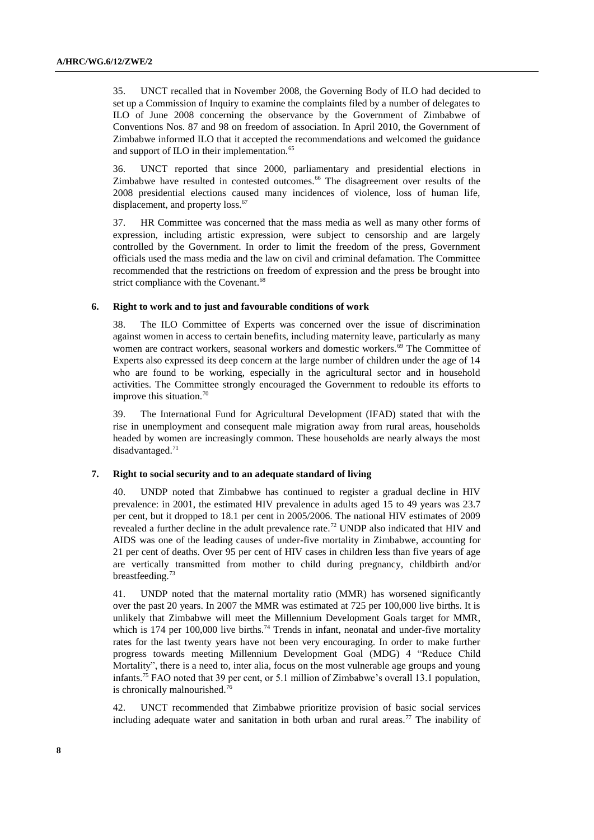35. UNCT recalled that in November 2008, the Governing Body of ILO had decided to set up a Commission of Inquiry to examine the complaints filed by a number of delegates to ILO of June 2008 concerning the observance by the Government of Zimbabwe of Conventions Nos. 87 and 98 on freedom of association. In April 2010, the Government of Zimbabwe informed ILO that it accepted the recommendations and welcomed the guidance and support of ILO in their implementation.<sup>65</sup>

36. UNCT reported that since 2000, parliamentary and presidential elections in Zimbabwe have resulted in contested outcomes.<sup>66</sup> The disagreement over results of the 2008 presidential elections caused many incidences of violence, loss of human life, displacement, and property loss.<sup>67</sup>

37. HR Committee was concerned that the mass media as well as many other forms of expression, including artistic expression, were subject to censorship and are largely controlled by the Government. In order to limit the freedom of the press, Government officials used the mass media and the law on civil and criminal defamation. The Committee recommended that the restrictions on freedom of expression and the press be brought into strict compliance with the Covenant.<sup>68</sup>

#### **6. Right to work and to just and favourable conditions of work**

38. The ILO Committee of Experts was concerned over the issue of discrimination against women in access to certain benefits, including maternity leave, particularly as many women are contract workers, seasonal workers and domestic workers.<sup>69</sup> The Committee of Experts also expressed its deep concern at the large number of children under the age of 14 who are found to be working, especially in the agricultural sector and in household activities. The Committee strongly encouraged the Government to redouble its efforts to improve this situation.<sup>70</sup>

39. The International Fund for Agricultural Development (IFAD) stated that with the rise in unemployment and consequent male migration away from rural areas, households headed by women are increasingly common. These households are nearly always the most disadvantaged. $71$ 

#### **7. Right to social security and to an adequate standard of living**

40. UNDP noted that Zimbabwe has continued to register a gradual decline in HIV prevalence: in 2001, the estimated HIV prevalence in adults aged 15 to 49 years was 23.7 per cent, but it dropped to 18.1 per cent in 2005/2006. The national HIV estimates of 2009 revealed a further decline in the adult prevalence rate.<sup>72</sup> UNDP also indicated that HIV and AIDS was one of the leading causes of under-five mortality in Zimbabwe, accounting for 21 per cent of deaths. Over 95 per cent of HIV cases in children less than five years of age are vertically transmitted from mother to child during pregnancy, childbirth and/or breastfeeding. $73$ 

41. UNDP noted that the maternal mortality ratio (MMR) has worsened significantly over the past 20 years. In 2007 the MMR was estimated at 725 per 100,000 live births. It is unlikely that Zimbabwe will meet the Millennium Development Goals target for MMR, which is 174 per 100,000 live births.<sup>74</sup> Trends in infant, neonatal and under-five mortality rates for the last twenty years have not been very encouraging. In order to make further progress towards meeting Millennium Development Goal (MDG) 4 "Reduce Child Mortality", there is a need to, inter alia, focus on the most vulnerable age groups and young infants.<sup>75</sup> FAO noted that 39 per cent, or 5.1 million of Zimbabwe's overall 13.1 population, is chronically malnourished.<sup>76</sup>

42. UNCT recommended that Zimbabwe prioritize provision of basic social services including adequate water and sanitation in both urban and rural areas.<sup>77</sup> The inability of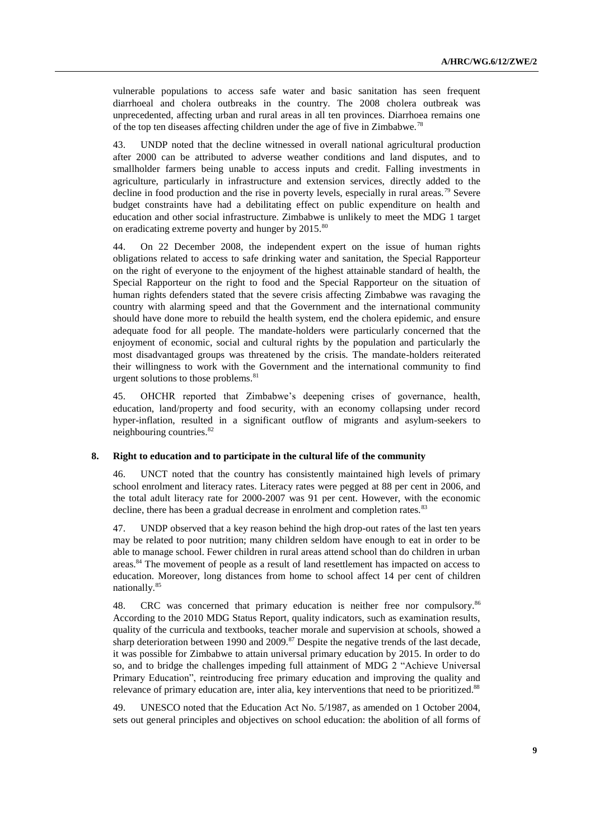vulnerable populations to access safe water and basic sanitation has seen frequent diarrhoeal and cholera outbreaks in the country. The 2008 cholera outbreak was unprecedented, affecting urban and rural areas in all ten provinces. Diarrhoea remains one of the top ten diseases affecting children under the age of five in Zimbabwe.<sup>78</sup>

43. UNDP noted that the decline witnessed in overall national agricultural production after 2000 can be attributed to adverse weather conditions and land disputes, and to smallholder farmers being unable to access inputs and credit. Falling investments in agriculture, particularly in infrastructure and extension services, directly added to the decline in food production and the rise in poverty levels, especially in rural areas.<sup>79</sup> Severe budget constraints have had a debilitating effect on public expenditure on health and education and other social infrastructure. Zimbabwe is unlikely to meet the MDG 1 target on eradicating extreme poverty and hunger by 2015.<sup>80</sup>

44. On 22 December 2008, the independent expert on the issue of human rights obligations related to access to safe drinking water and sanitation, the Special Rapporteur on the right of everyone to the enjoyment of the highest attainable standard of health, the Special Rapporteur on the right to food and the Special Rapporteur on the situation of human rights defenders stated that the severe crisis affecting Zimbabwe was ravaging the country with alarming speed and that the Government and the international community should have done more to rebuild the health system, end the cholera epidemic, and ensure adequate food for all people. The mandate-holders were particularly concerned that the enjoyment of economic, social and cultural rights by the population and particularly the most disadvantaged groups was threatened by the crisis. The mandate-holders reiterated their willingness to work with the Government and the international community to find urgent solutions to those problems. $81$ 

45. OHCHR reported that Zimbabwe's deepening crises of governance, health, education, land/property and food security, with an economy collapsing under record hyper-inflation, resulted in a significant outflow of migrants and asylum-seekers to neighbouring countries.<sup>82</sup>

#### **8. Right to education and to participate in the cultural life of the community**

46. UNCT noted that the country has consistently maintained high levels of primary school enrolment and literacy rates. Literacy rates were pegged at 88 per cent in 2006, and the total adult literacy rate for 2000-2007 was 91 per cent. However, with the economic decline, there has been a gradual decrease in enrolment and completion rates.<sup>83</sup>

47. UNDP observed that a key reason behind the high drop-out rates of the last ten years may be related to poor nutrition; many children seldom have enough to eat in order to be able to manage school. Fewer children in rural areas attend school than do children in urban areas.<sup>84</sup> The movement of people as a result of land resettlement has impacted on access to education. Moreover, long distances from home to school affect 14 per cent of children nationally.<sup>85</sup>

48. CRC was concerned that primary education is neither free nor compulsory.<sup>86</sup> According to the 2010 MDG Status Report, quality indicators, such as examination results, quality of the curricula and textbooks, teacher morale and supervision at schools, showed a sharp deterioration between 1990 and 2009.<sup>87</sup> Despite the negative trends of the last decade, it was possible for Zimbabwe to attain universal primary education by 2015. In order to do so, and to bridge the challenges impeding full attainment of MDG 2 "Achieve Universal Primary Education", reintroducing free primary education and improving the quality and relevance of primary education are, inter alia, key interventions that need to be prioritized.<sup>88</sup>

49. UNESCO noted that the Education Act No. 5/1987, as amended on 1 October 2004, sets out general principles and objectives on school education: the abolition of all forms of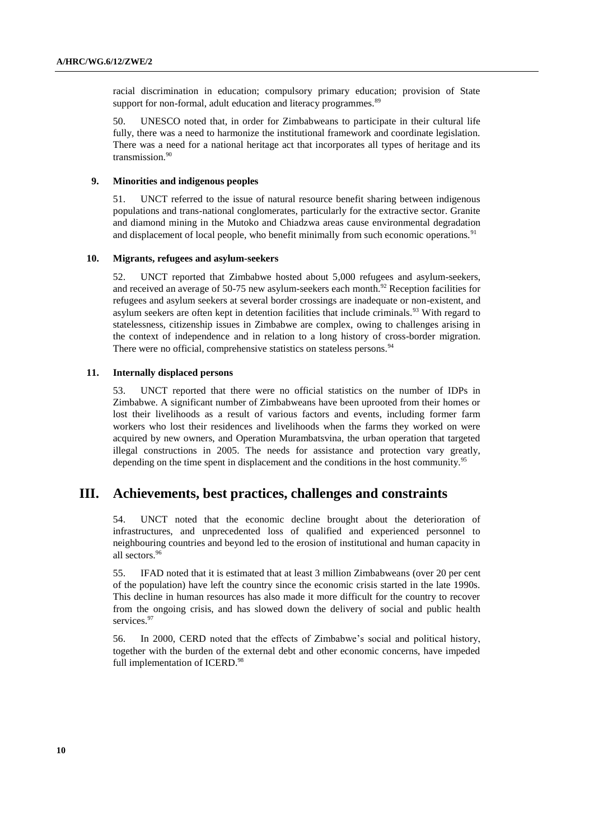racial discrimination in education; compulsory primary education; provision of State support for non-formal, adult education and literacy programmes.<sup>89</sup>

50. UNESCO noted that, in order for Zimbabweans to participate in their cultural life fully, there was a need to harmonize the institutional framework and coordinate legislation. There was a need for a national heritage act that incorporates all types of heritage and its transmission. 90

#### **9. Minorities and indigenous peoples**

51. UNCT referred to the issue of natural resource benefit sharing between indigenous populations and trans-national conglomerates, particularly for the extractive sector. Granite and diamond mining in the Mutoko and Chiadzwa areas cause environmental degradation and displacement of local people, who benefit minimally from such economic operations.<sup>91</sup>

#### **10. Migrants, refugees and asylum-seekers**

52. UNCT reported that Zimbabwe hosted about 5,000 refugees and asylum-seekers, and received an average of 50-75 new asylum-seekers each month.<sup>92</sup> Reception facilities for refugees and asylum seekers at several border crossings are inadequate or non-existent, and asylum seekers are often kept in detention facilities that include criminals.<sup>93</sup> With regard to statelessness, citizenship issues in Zimbabwe are complex, owing to challenges arising in the context of independence and in relation to a long history of cross-border migration. There were no official, comprehensive statistics on stateless persons.<sup>94</sup>

#### **11. Internally displaced persons**

53. UNCT reported that there were no official statistics on the number of IDPs in Zimbabwe. A significant number of Zimbabweans have been uprooted from their homes or lost their livelihoods as a result of various factors and events, including former farm workers who lost their residences and livelihoods when the farms they worked on were acquired by new owners, and Operation Murambatsvina, the urban operation that targeted illegal constructions in 2005. The needs for assistance and protection vary greatly, depending on the time spent in displacement and the conditions in the host community.<sup>95</sup>

## **III. Achievements, best practices, challenges and constraints**

54. UNCT noted that the economic decline brought about the deterioration of infrastructures, and unprecedented loss of qualified and experienced personnel to neighbouring countries and beyond led to the erosion of institutional and human capacity in all sectors.<sup>96</sup>

55. IFAD noted that it is estimated that at least 3 million Zimbabweans (over 20 per cent of the population) have left the country since the economic crisis started in the late 1990s. This decline in human resources has also made it more difficult for the country to recover from the ongoing crisis, and has slowed down the delivery of social and public health services.<sup>97</sup>

56. In 2000, CERD noted that the effects of Zimbabwe's social and political history, together with the burden of the external debt and other economic concerns, have impeded full implementation of ICERD.<sup>98</sup>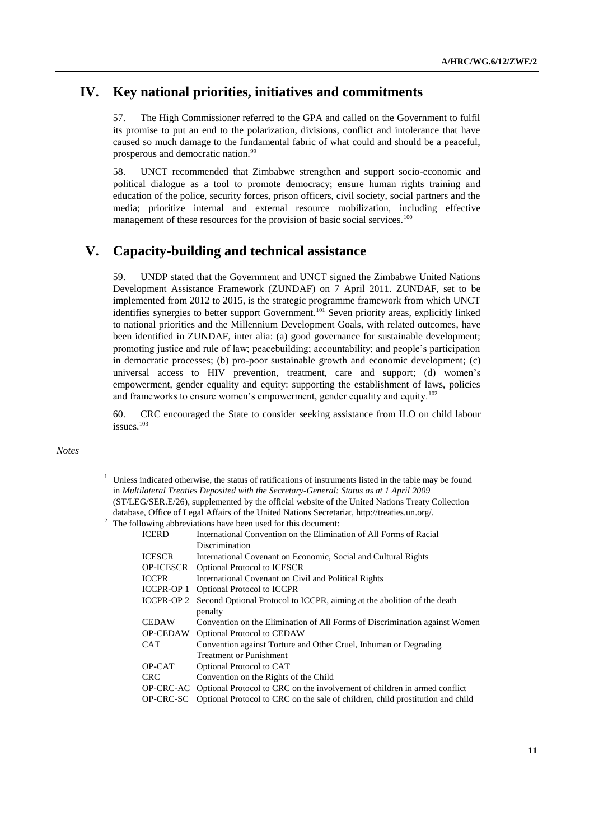## **IV. Key national priorities, initiatives and commitments**

57. The High Commissioner referred to the GPA and called on the Government to fulfil its promise to put an end to the polarization, divisions, conflict and intolerance that have caused so much damage to the fundamental fabric of what could and should be a peaceful, prosperous and democratic nation.<sup>99</sup>

58. UNCT recommended that Zimbabwe strengthen and support socio-economic and political dialogue as a tool to promote democracy; ensure human rights training and education of the police, security forces, prison officers, civil society, social partners and the media; prioritize internal and external resource mobilization, including effective management of these resources for the provision of basic social services.<sup>100</sup>

# **V. Capacity-building and technical assistance**

59. UNDP stated that the Government and UNCT signed the Zimbabwe United Nations Development Assistance Framework (ZUNDAF) on 7 April 2011. ZUNDAF, set to be implemented from 2012 to 2015, is the strategic programme framework from which UNCT identifies synergies to better support Government.<sup>101</sup> Seven priority areas, explicitly linked to national priorities and the Millennium Development Goals, with related outcomes, have been identified in ZUNDAF, inter alia: (a) good governance for sustainable development; promoting justice and rule of law; peacebuilding; accountability; and people's participation in democratic processes; (b) pro-poor sustainable growth and economic development; (c) universal access to HIV prevention, treatment, care and support; (d) women's empowerment, gender equality and equity: supporting the establishment of laws, policies and frameworks to ensure women's empowerment, gender equality and equity.<sup>102</sup>

60. CRC encouraged the State to consider seeking assistance from ILO on child labour issues.<sup>103</sup>

#### *Notes*

Unless indicated otherwise, the status of ratifications of instruments listed in the table may be found in *Multilateral Treaties Deposited with the Secretary-General: Status as at 1 April 2009* (ST/LEG/SER.E/26), supplemented by the official website of the United Nations Treaty Collection database, Office of Legal Affairs of the United Nations Secretariat, http://treaties.un.org/.

<sup>2</sup> The following abbreviations have been used for this document:

| <b>ICERD</b>      | International Convention on the Elimination of All Forms of Racial                       |
|-------------------|------------------------------------------------------------------------------------------|
|                   | Discrimination                                                                           |
| <b>ICESCR</b>     | International Covenant on Economic, Social and Cultural Rights                           |
| <b>OP-ICESCR</b>  | <b>Optional Protocol to ICESCR</b>                                                       |
| <b>ICCPR</b>      | International Covenant on Civil and Political Rights                                     |
| <b>ICCPR-OP 1</b> | <b>Optional Protocol to ICCPR</b>                                                        |
| <b>ICCPR-OP 2</b> | Second Optional Protocol to ICCPR, aiming at the abolition of the death                  |
|                   | penalty                                                                                  |
| <b>CEDAW</b>      | Convention on the Elimination of All Forms of Discrimination against Women               |
| <b>OP-CEDAW</b>   | <b>Optional Protocol to CEDAW</b>                                                        |
| <b>CAT</b>        | Convention against Torture and Other Cruel, Inhuman or Degrading                         |
|                   | <b>Treatment or Punishment</b>                                                           |
| OP-CAT            | Optional Protocol to CAT                                                                 |
| CRC.              | Convention on the Rights of the Child                                                    |
|                   | OP-CRC-AC Optional Protocol to CRC on the involvement of children in armed conflict      |
|                   | OP-CRC-SC Optional Protocol to CRC on the sale of children, child prostitution and child |
|                   |                                                                                          |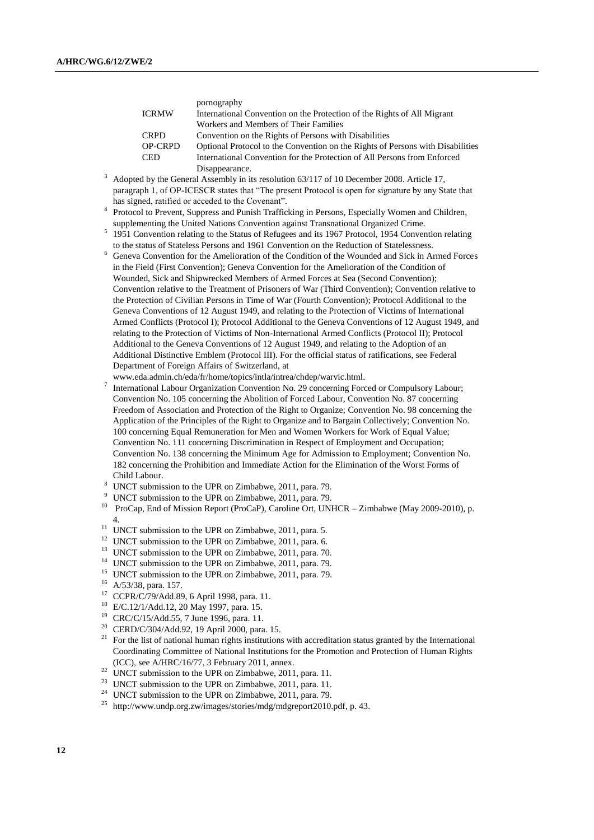|                | pornography                                                                    |
|----------------|--------------------------------------------------------------------------------|
| <b>ICRMW</b>   | International Convention on the Protection of the Rights of All Migrant        |
|                | Workers and Members of Their Families                                          |
| <b>CRPD</b>    | Convention on the Rights of Persons with Disabilities                          |
| <b>OP-CRPD</b> | Optional Protocol to the Convention on the Rights of Persons with Disabilities |
| <b>CED</b>     | International Convention for the Protection of All Persons from Enforced       |
|                | Disappearance.                                                                 |
|                |                                                                                |

- $3$  Adopted by the General Assembly in its resolution 63/117 of 10 December 2008. Article 17, paragraph 1, of OP-ICESCR states that "The present Protocol is open for signature by any State that has signed, ratified or acceded to the Covenant".
- <sup>4</sup> Protocol to Prevent, Suppress and Punish Trafficking in Persons, Especially Women and Children, supplementing the United Nations Convention against Transnational Organized Crime.
- <sup>5</sup> 1951 Convention relating to the Status of Refugees and its 1967 Protocol, 1954 Convention relating to the status of Stateless Persons and 1961 Convention on the Reduction of Statelessness.
- <sup>6</sup> Geneva Convention for the Amelioration of the Condition of the Wounded and Sick in Armed Forces in the Field (First Convention); Geneva Convention for the Amelioration of the Condition of Wounded, Sick and Shipwrecked Members of Armed Forces at Sea (Second Convention); Convention relative to the Treatment of Prisoners of War (Third Convention); Convention relative to the Protection of Civilian Persons in Time of War (Fourth Convention); Protocol Additional to the Geneva Conventions of 12 August 1949, and relating to the Protection of Victims of International Armed Conflicts (Protocol I); Protocol Additional to the Geneva Conventions of 12 August 1949, and relating to the Protection of Victims of Non-International Armed Conflicts (Protocol II); Protocol Additional to the Geneva Conventions of 12 August 1949, and relating to the Adoption of an Additional Distinctive Emblem (Protocol III). For the official status of ratifications, see Federal Department of Foreign Affairs of Switzerland, at
- www.eda.admin.ch/eda/fr/home/topics/intla/intrea/chdep/warvic.html.
- 7 International Labour Organization Convention No. 29 concerning Forced or Compulsory Labour; Convention No. 105 concerning the Abolition of Forced Labour, Convention No. 87 concerning Freedom of Association and Protection of the Right to Organize; Convention No. 98 concerning the Application of the Principles of the Right to Organize and to Bargain Collectively; Convention No. 100 concerning Equal Remuneration for Men and Women Workers for Work of Equal Value; Convention No. 111 concerning Discrimination in Respect of Employment and Occupation; Convention No. 138 concerning the Minimum Age for Admission to Employment; Convention No. 182 concerning the Prohibition and Immediate Action for the Elimination of the Worst Forms of Child Labour.
- <sup>8</sup> UNCT submission to the UPR on Zimbabwe, 2011, para. 79.
- UNCT submission to the UPR on Zimbabwe, 2011, para. 79.
- <sup>10</sup> ProCap, End of Mission Report (ProCaP), Caroline Ort, UNHCR Zimbabwe (May 2009-2010), p. 4.
- $11$  UNCT submission to the UPR on Zimbabwe, 2011, para. 5.
- <sup>12</sup> UNCT submission to the UPR on Zimbabwe, 2011, para. 6.
- <sup>13</sup> UNCT submission to the UPR on Zimbabwe, 2011, para. 70.
- <sup>14</sup> UNCT submission to the UPR on Zimbabwe, 2011, para. 79.
- <sup>15</sup> UNCT submission to the UPR on Zimbabwe, 2011, para. 79.
- A/53/38, para. 157.
- <sup>17</sup> CCPR/C/79/Add.89, 6 April 1998, para. 11.
- <sup>18</sup> E/C.12/1/Add.12, 20 May 1997, para. 15.<br><sup>19</sup> CPC/C/15/Add 55, 7 June 1006, para. 11.
- <sup>19</sup> CRC/C/15/Add.55, 7 June 1996, para. 11.<br><sup>20</sup> CERD/C/304/Add.92, 19 April 2000, para
- CERD/C/304/Add.92, 19 April 2000, para. 15.
- <sup>21</sup> For the list of national human rights institutions with accreditation status granted by the International Coordinating Committee of National Institutions for the Promotion and Protection of Human Rights (ICC), see A/HRC/16/77, 3 February 2011, annex.
- <sup>22</sup> UNCT submission to the UPR on Zimbabwe, 2011, para. 11.
- <sup>23</sup> UNCT submission to the UPR on Zimbabwe, 2011, para. 11.
- <sup>24</sup> UNCT submission to the UPR on Zimbabwe, 2011, para. 79.
- <sup>25</sup> [http://www.undp.org.zw/images/stories/mdg/mdgreport2010.pdf,](http://www.undp.org.zw/images/stories/mdg/mdgreport2010.pdf) p. 43.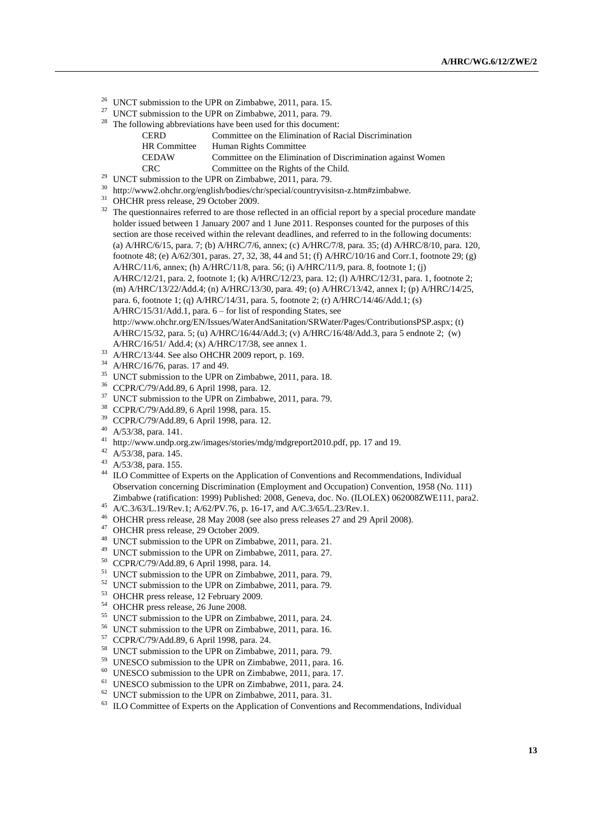- <sup>26</sup> UNCT submission to the UPR on Zimbabwe, 2011, para. 15.<br><sup>27</sup> UNCT submission to the UPR on Zimbabwe, 2011, para. 79
- UNCT submission to the UPR on Zimbabwe, 2011, para. 79.
- $28$  The following abbreviations have been used for this document:

| CERD.        | Committee on the Elimination of Racial Discrimination        |
|--------------|--------------------------------------------------------------|
| HR Committee | Human Rights Committee                                       |
| CEDAW        | Committee on the Elimination of Discrimination against Women |
| CRC          | Committee on the Rights of the Child.                        |
|              |                                                              |

- UNCT submission to the UPR on Zimbabwe, 2011, para. 79.
- $30$  http://www2.ohchr.org/english/bodies/chr/special/countryvisitsn-z.htm#zimbabwe.
- <sup>31</sup> OHCHR press release, 29 October 2009.
- <sup>32</sup> The questionnaires referred to are those reflected in an official report by a special procedure mandate holder issued between 1 January 2007 and 1 June 2011. Responses counted for the purposes of this section are those received within the relevant deadlines, and referred to in the following documents: (a) A/HRC/6/15, para. 7; (b) A/HRC/7/6, annex; (c) A/HRC/7/8, para. 35; (d) A/HRC/8/10, para. 120, footnote 48; (e) A/62/301, paras. 27, 32, 38, 44 and 51; (f) A/HRC/10/16 and Corr.1, footnote 29; (g) A/HRC/11/6, annex; (h) A/HRC/11/8, para. 56; (i) A/HRC/11/9, para. 8, footnote 1; (j) A/HRC/12/21, para. 2, footnote 1; (k) A/HRC/12/23, para. 12; (l) A/HRC/12/31, para. 1, footnote 2; (m) A/HRC/13/22/Add.4; (n) A/HRC/13/30, para. 49; (o) A/HRC/13/42, annex I; (p) A/HRC/14/25, para. 6, footnote 1; (q) A/HRC/14/31, para. 5, footnote 2; (r) A/HRC/14/46/Add.1; (s) A/HRC/15/31/Add.1, para. 6 – for list of responding States, see http://www.ohchr.org/EN/Issues/WaterAndSanitation/SRWater/Pages/ContributionsPSP.aspx; (t) A/HRC/15/32, para. 5; (u) A/HRC/16/44/Add.3; (v) A/HRC/16/48/Add.3, para 5 endnote 2; (w) A/HRC/16/51/ Add.4; (x) A/HRC/17/38, see annex 1.
- $^{33}$  A/HRC/13/44. See also OHCHR 2009 report, p. 169.
- <sup>34</sup> A/HRC/16/76, paras. 17 and 49.
- <sup>35</sup> UNCT submission to the UPR on Zimbabwe, 2011, para. 18.<br><sup>36</sup> CCPP/C/70/Add 80, 6 April 1008, para. 12.
- $^{36}$  CCPR/C/79/Add.89, 6 April 1998, para. 12.<br> $^{37}$  JNCT submission to the JPP on Zimboby
- <sup>37</sup> UNCT submission to the UPR on Zimbabwe, 2011, para. 79.<br><sup>38</sup> CCPB/C/70/Add 80, 6 April 1008, para. 15
- <sup>38</sup> CCPR/C/79/Add.89, 6 April 1998, para. 15.<br><sup>39</sup> CCPB/C/70/Add 80, 6 April 1908, para. 12.
- <sup>39</sup> CCPR/C/79/Add.89, 6 April 1998, para. 12.
- A/53/38, para. 141.
- <sup>41</sup> [http://www.undp.org.zw/images/stories/mdg/mdgreport2010.pdf,](http://www.undp.org.zw/images/stories/mdg/mdgreport2010.pdf) pp. 17 and 19.
- <sup>42</sup> A/53/38, para. 145.
- <sup>43</sup> A/53/38, para. 155.
- <sup>44</sup> ILO Committee of Experts on the Application of Conventions and Recommendations, Individual Observation concerning Discrimination (Employment and Occupation) Convention, 1958 (No. 111) Zimbabwe (ratification: 1999) Published: 2008, Geneva, doc. No. (ILOLEX) 062008ZWE111, para2.
- <sup>45</sup> A/C.3/63/L.19/Rev.1; A/62/PV.76, p. 16-17, and A/C.3/65/L.23/Rev.1.
- <sup>46</sup> OHCHR press release, 28 May 2008 (see also press releases 27 and 29 April 2008).
- <sup>47</sup> OHCHR press release, 29 October 2009.
- <sup>48</sup> UNCT submission to the UPR on Zimbabwe, 2011, para. 21.
- <sup>49</sup> UNCT submission to the UPR on Zimbabwe, 2011, para. 27.
- <sup>50</sup> CCPR/C/79/Add.89, 6 April 1998, para. 14.
- <sup>51</sup> UNCT submission to the UPR on Zimbabwe, 2011, para. 79.
- $52$  UNCT submission to the UPR on Zimbabwe, 2011, para. 79.<br> $53$  OUCUP areas release, 12 Eshmany 2000.
- <sup>53</sup> OHCHR press release, 12 February 2009.
- $54$  OHCHR press release, 26 June 2008.
- UNCT submission to the UPR on Zimbabwe, 2011, para. 24.
- <sup>56</sup> UNCT submission to the UPR on Zimbabwe, 2011, para. 16.
- $^{57}$  CCPR/C/79/Add.89, 6 April 1998, para. 24.<br> $^{58}$  UNCT submission to the UPP on Zimbobwe
- <sup>58</sup> UNCT submission to the UPR on Zimbabwe, 2011, para. 79.<br><sup>59</sup> UNESCO submission to the UPP on Zimbabwe, 2011, para.
- UNESCO submission to the UPR on Zimbabwe, 2011, para. 16.
- <sup>60</sup> UNESCO submission to the UPR on Zimbabwe, 2011, para. 17.<br><sup>61</sup> UNESCO submission to the UPP on Zimbabwe, 2011, para. 24.
- UNESCO submission to the UPR on Zimbabwe, 2011, para. 24.
- $62$  UNCT submission to the UPR on Zimbabwe, 2011, para. 31.
- <sup>63</sup> ILO Committee of Experts on the Application of Conventions and Recommendations, Individual